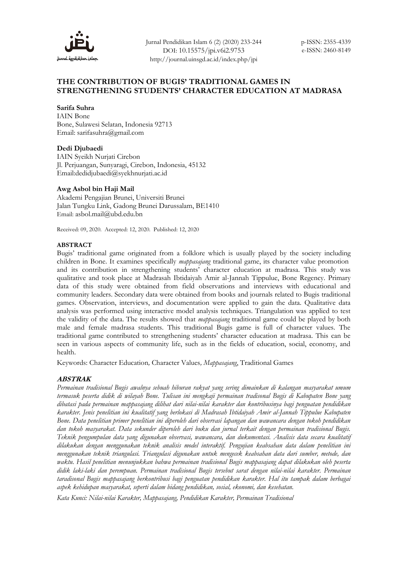

Jurnal Pendidikan Islam 6 (2) (2020) 233-244 DOI: 10.15575/jpi.v6i2.9753 http://journal.uinsgd.ac.id/index.php/jpi

# **THE CONTRIBUTION OF BUGIS' TRADITIONAL GAMES IN STRENGTHENING STUDENTS' CHARACTER EDUCATION AT MADRASA**

### **Sarifa Suhra**

IAIN Bone Bone, Sulawesi Selatan, Indonesia 92713 Email: sarifasuhra@gmail.com

### **Dedi Djubaedi**

IAIN Syeikh Nurjati Cirebon Jl. Perjuangan, Sunyaragi, Cirebon, Indonesia, 45132 Email:dedidjubaedi@syekhnurjati.ac.id

### **Awg Asbol bin Haji Mail**

Akademi Pengajian Brunei, Universiti Brunei Jalan Tungku Link, Gadong Brunei Darussalam, BE1410 Email: asbol.mail@ubd.edu.bn

Received: 09, 2020. Accepted: 12, 2020. Published: 12, 2020

#### **ABSTRACT**

Bugis' traditional game originated from a folklore which is usually played by the society including children in Bone. It examines specifically *mappasajang* traditional game, its character value promotion and its contribution in strengthening students' character education at madrasa. This study was qualitative and took place at Madrasah Ibtidaiyah Amir al-Jannah Tippulue, Bone Regency. Primary data of this study were obtained from field observations and interviews with educational and community leaders. Secondary data were obtained from books and journals related to Bugis traditional games. Observation, interviews, and documentation were applied to gain the data. Qualitative data analysis was performed using interactive model analysis techniques. Triangulation was applied to test the validity of the data. The results showed that *mappasajang* traditional game could be played by both male and female madrasa students. This traditional Bugis game is full of character values. The traditional game contributed to strengthening students' character education at madrasa. This can be seen in various aspects of community life, such as in the fields of education, social, economy, and health.

Keywords: Character Education*,* Character Values*, Mappasajang*, Traditional Games

### **ABSTRAK**

*Permainan tradisional Bugis awalnya sebuah hiburan rakyat yang sering dimainkan di kalangan masyarakat umum termasuk peserta didik di wilayah Bone. Tulisan ini mengkaji permainan tradisonal Bugis di Kabupaten Bone yang dibatasi pada permainan mappasajang dilihat dari nilai-nilai karakter dan kontribusinya bagi penguatan pendidikan karakter. Jenis penelitian ini kualitatif yang berlokasi di Madrasah Ibtidaiyah Amir al-Jannah Tippulue Kabupaten Bone. Data penelitian primer penelitian ini diperoleh dari observasi lapangan dan wawancara dengan tokoh pendidikan dan tokoh masyarakat. Data sekunder diperoleh dari buku dan jurnal terkait dengan permainan tradisional Bugis. Teknik pengumpulan data yang digunakan observasi, wawancara, dan dukumentasi. Analisis data secara kualitatif dilakukan dengan menggunakan teknik analisis model interaktif. Pengujian keabsahan data dalam penelitian ini menggunakan teknik triangulasi. Triangulasi digunakan untuk mengecek keabsahan data dari sumber, metode, dan waktu. Hasil penelitian menunjukkan bahwa permainan tradisional Bugis mappasajang dapat dilakukan oleh peserta didik laki-laki dan perempuan. Permainan tradisional Bugis tersebut sarat dengan nilai-nilai karakter. Permainan taradisonal Bugis mappasajang berkontribusi bagi penguatan pendidikan karakter. Hal itu tampak dalam berbagai aspek kehidupan masyarakat, seperti dalam bidang pendidikan, sosial, ekonomi, dan kesehatan.*

*Kata Kunci: Nilai-nilai Karakter, Mappasajang, Pendidikan Karakter, Permainan Tradisional*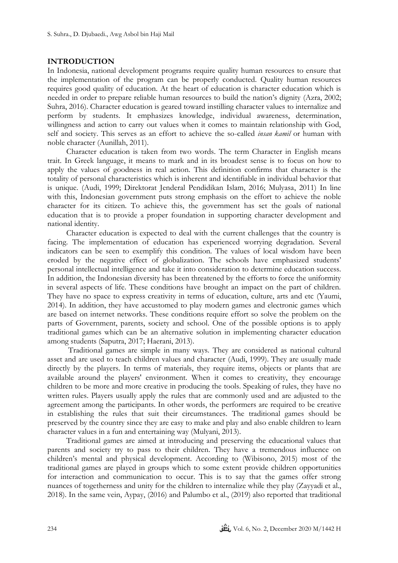# **INTRODUCTION**

In Indonesia, national development programs require quality human resources to ensure that the implementation of the program can be properly conducted. Quality human resources requires good quality of education. At the heart of education is character education which is needed in order to prepare reliable human resources to build the nation's dignity (Azra, 2002; Suhra, 2016). Character education is geared toward instilling character values to internalize and perform by students. It emphasizes knowledge, individual awareness, determination, willingness and action to carry out values when it comes to maintain relationship with God, self and society. This serves as an effort to achieve the so-called *insan kamil* or human with noble character (Aunillah, 2011).

Character education is taken from two words. The term Character in English means trait. In Greek language, it means to mark and in its broadest sense is to focus on how to apply the values of goodness in real action. This definition confirms that character is the totality of personal characteristics which is inherent and identifiable in individual behavior that is unique. (Audi, 1999; Direktorat Jenderal Pendidikan Islam, 2016; Mulyasa, 2011) In line with this, Indonesian government puts strong emphasis on the effort to achieve the noble character for its citizen. To achieve this, the government has set the goals of national education that is to provide a proper foundation in supporting character development and national identity.

Character education is expected to deal with the current challenges that the country is facing. The implementation of education has experienced worrying degradation. Several indicators can be seen to exemplify this condition. The values of local wisdom have been eroded by the negative effect of globalization. The schools have emphasized students' personal intellectual intelligence and take it into consideration to determine education success. In addition, the Indonesian diversity has been threatened by the efforts to force the uniformity in several aspects of life. These conditions have brought an impact on the part of children. They have no space to express creativity in terms of education, culture, arts and etc (Yaumi, 2014). In addition, they have accustomed to play modern games and electronic games which are based on internet networks. These conditions require effort so solve the problem on the parts of Government, parents, society and school. One of the possible options is to apply traditional games which can be an alternative solution in implementing character education among students (Saputra, 2017; Haerani, 2013).

Traditional games are simple in many ways. They are considered as national cultural asset and are used to teach children values and character (Audi, 1999). They are usually made directly by the players. In terms of materials, they require items, objects or plants that are available around the players' environment. When it comes to creativity, they encourage children to be more and more creative in producing the tools. Speaking of rules, they have no written rules. Players usually apply the rules that are commonly used and are adjusted to the agreement among the participants. In other words, the performers are required to be creative in establishing the rules that suit their circumstances. The traditional games should be preserved by the country since they are easy to make and play and also enable children to learn character values in a fun and entertaining way (Mulyani, 2013).

Traditional games are aimed at introducing and preserving the educational values that parents and society try to pass to their children. They have a tremendous influence on children's mental and physical development. According to (Wibisono, 2015) most of the traditional games are played in groups which to some extent provide children opportunities for interaction and communication to occur. This is to say that the games offer strong nuances of togetherness and unity for the children to internalize while they play (Zayyadi et al., 2018). In the same vein, Aypay, (2016) and Palumbo et al., (2019) also reported that traditional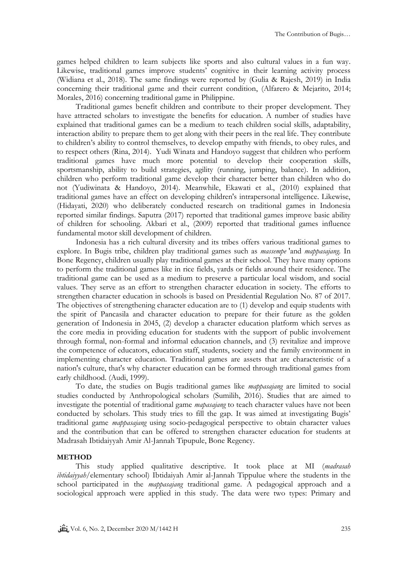games helped children to learn subjects like sports and also cultural values in a fun way. Likewise, traditional games improve students' cognitive in their learning activity process (Widiana et al., 2018). The same findings were reported by (Gulia & Rajesh, 2019) in India concerning their traditional game and their current condition, (Alfarero & Mejarito, 2014; Morales, 2016) concerning traditional game in Philippine.

Traditional games benefit children and contribute to their proper development. They have attracted scholars to investigate the benefits for education. A number of studies have explained that traditional games can be a medium to teach children social skills, adaptability, interaction ability to prepare them to get along with their peers in the real life. They contribute to children's ability to control themselves, to develop empathy with friends, to obey rules, and to respect others (Rina, 2014). Yudi Winata and Handoyo suggest that children who perform traditional games have much more potential to develop their cooperation skills, sportsmanship, ability to build strategies, agility (running, jumping, balance). In addition, children who perform traditional game develop their character better than children who do not (Yudiwinata & Handoyo, 2014). Meanwhile, Ekawati et al., (2010) explained that traditional games have an effect on developing children's intrapersonal intelligence. Likewise, (Hidayati, 2020) who deliberately conducted research on traditional games in Indonesia reported similar findings. Saputra (2017) reported that traditional games improve basic ability of children for schooling. Akbari et al., (2009) reported that traditional games influence fundamental motor skill development of children.

Indonesia has a rich cultural diversity and its tribes offers various traditional games to explore. In Bugis tribe, children play traditional games such as *massempe* 'and *mappasajang.* In Bone Regency, children usually play traditional games at their school. They have many options to perform the traditional games like in rice fields, yards or fields around their residence. The traditional game can be used as a medium to preserve a particular local wisdom, and social values. They serve as an effort to strengthen character education in society. The efforts to strengthen character education in schools is based on Presidential Regulation No. 87 of 2017. The objectives of strengthening character education are to (1) develop and equip students with the spirit of Pancasila and character education to prepare for their future as the golden generation of Indonesia in 2045, (2) develop a character education platform which serves as the core media in providing education for students with the support of public involvement through formal, non-formal and informal education channels, and (3) revitalize and improve the competence of educators, education staff, students, society and the family environment in implementing character education. Traditional games are assets that are characteristic of a nation's culture, that's why character education can be formed through traditional games from early childhood. (Audi, 1999).

To date, the studies on Bugis traditional games like *mappasajang* are limited to social studies conducted by Anthropological scholars (Sumilih, 2016). Studies that are aimed to investigate the potential of traditional game *mapasajang* to teach character values have not been conducted by scholars. This study tries to fill the gap. It was aimed at investigating Bugis' traditional game *mappasajang* using socio-pedagogical perspective to obtain character values and the contribution that can be offered to strengthen character education for students at Madrasah Ibtidaiyyah Amir Al-Jannah Tipupule, Bone Regency.

### **METHOD**

This study applied qualitative descriptive. It took place at MI (*madrasah ibtidaiyyah*/elementary school) Ibtidaiyah Amir al-Jannah Tippulue where the students in the school participated in the *mappasajang* traditional game. A pedagogical approach and a sociological approach were applied in this study. The data were two types: Primary and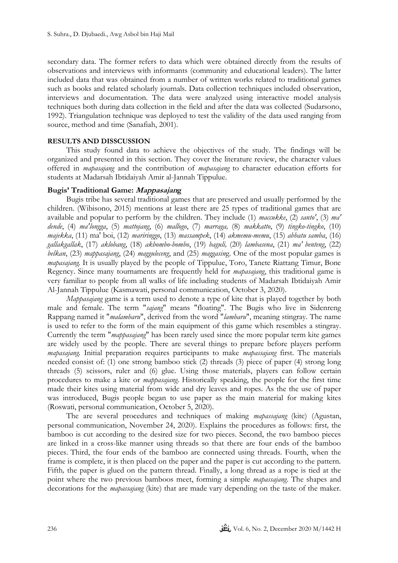secondary data. The former refers to data which were obtained directly from the results of observations and interviews with informants (community and educational leaders). The latter included data that was obtained from a number of written works related to traditional games such as books and related scholarly journals. Data collection techniques included observation, interviews and documentation. The data were analyzed using interactive model analysis techniques both during data collection in the field and after the data was collected (Sudarsono, 1992). Triangulation technique was deployed to test the validity of the data used ranging from source, method and time (Sanafiah, 2001).

# **RESULTS AND DISSCUSSION**

This study found data to achieve the objectives of the study. The findings will be organized and presented in this section. They cover the literature review, the character values offered in *mapasajang* and the contribution of *mapasajang* to character education efforts for students at Madarsah Ibtidaiyah Amir al-Jannah Tippulue.

# **Bugis' Traditional Game: Mappasajang**

Bugis tribe has several traditional games that are preserved and usually performed by the children. (Wibisono, 2015) mentions at least there are 25 types of traditional games that are available and popular to perform by the children. They include (1) *maccukke*, (2) *santo'*, (3) *ma' dende*, (4) *ma'longga*, (5) *mattojang*, (6) *mallogo*, (7) *marraga,* (8) *makkatto*, (9) *tingko-tingko*, (10) *majekka*, (11) ma' boi, (12) *mariringgo*, (13) *massampek*, (14) *akmemu-memu*, (15) *abbatu samba*, (16) *gallakgallak*, (17) *aklobang*, (18) *akbombo-bombo*, (19) *baguli,* (20) *lambasena*, (21) *ma' benteng*, (22) *belkan*, (23) *mappasajang*, (24) *magguleceng*, and (25) *maggasin*g. One of the most popular games is *mapasajang.* It is usually played by the people of Tippulue, Toro, Tanete Riattang Timur, Bone Regency. Since many tournaments are frequently held for *mapasajang*, this traditional game is very familiar to people from all walks of life including students of Madarsah Ibtidaiyah Amir Al-Jannah Tippulue (Kasmawati, personal communication, October 3, 2020).

*Mappasajang* game is a term used to denote a type of kite that is played together by both male and female. The term "*sajang*" means "floating". The Bugis who live in Sidenreng Rappang named it "*malambaru*", derived from the word "*lambaru*", meaning stingray. The name is used to refer to the form of the main equipment of this game which resembles a stingray. Currently the term "*mappasajang*" has been rarely used since the more popular term kite games are widely used by the people. There are several things to prepare before players perform *mapasajang.* Initial preparation requires participants to make *mapassajang* first. The materials needed consist of: (1) one strong bamboo stick (2) threads (3) piece of paper (4) strong long threads (5) scissors, ruler and (6) glue. Using those materials, players can follow certain procedures to make a kite or *mappasajang*. Historically speaking, the people for the first time made their kites using material from wide and dry leaves and ropes. As the the use of paper was introduced, Bugis people began to use paper as the main material for making kites (Roswati, personal communication, October 5, 2020).

The are several procedures and techniques of making *mapassajang* (kite) (Agustan, personal communication, November 24, 2020). Explains the procedures as follows: first*,* the bamboo is cut according to the desired size for two pieces. Second, the two bamboo pieces are linked in a cross-like manner using threads so that there are four ends of the bamboo pieces. Third, the four ends of the bamboo are connected using threads. Fourth, when the frame is complete, it is then placed on the paper and the paper is cut according to the pattern. Fifth*,* the paper is glued on the pattern thread. Finally, a long thread as a rope is tied at the point where the two previous bamboos meet, forming a simple *mapassajang*. The shapes and decorations for the *mapassajang* (kite) that are made vary depending on the taste of the maker.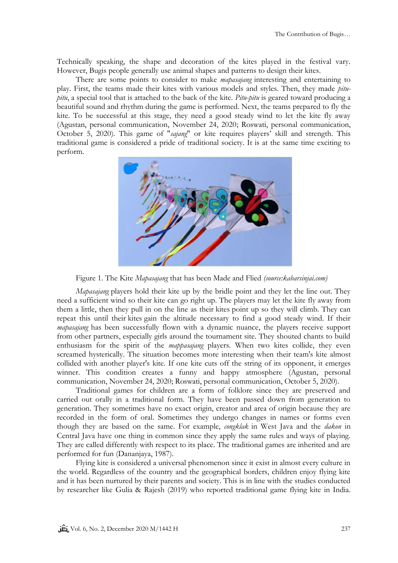Technically speaking, the shape and decoration of the kites played in the festival vary. However, Bugis people generally use animal shapes and patterns to design their kites.

There are some points to consider to make *mapasajang* interesting and entertaining to play. First, the teams made their kites with various models and styles. Then, they made *pitupitu*, a special tool that is attached to the back of the kite. *Pitu-pitu* is geared toward producing a beautiful sound and rhythm during the game is performed. Next, the teams prepared to fly the kite. To be successful at this stage, they need a good steady wind to let the kite fly away (Agustan, personal communication, November 24, 2020; Roswati, personal communication, October 5, 2020). This game of "*sajang*" or kite requires players' skill and strength. This traditional game is considered a pride of traditional society. It is at the same time exciting to perform.



Figure 1. The Kite *Mapasajang* that has been Made and Flied *(source:kabarsinjai.com)*

*Mapasajang* players hold their kite up by the bridle point and they let the line out. They need a sufficient wind so their kite can go right up. The players may let the kite fly away from them a little, then they pull in on the line as their kites point up so they will climb. They can repeat this until their kites gain the altitude necessary to find a good steady wind. If their *mapasajang* has been successfully flown with a dynamic nuance, the players receive support from other partners, especially girls around the tournament site. They shouted chants to build enthusiasm for the spirit of the *mappasajang* players. When two kites collide, they even screamed hysterically. The situation becomes more interesting when their team's kite almost collided with another player's kite. If one kite cuts off the string of its opponent, it emerges winner. This condition creates a funny and happy atmosphere (Agustan, personal communication, November 24, 2020; Roswati, personal communication, October 5, 2020).

Traditional games for children are a form of folklore since they are preserved and carried out orally in a traditional form. They have been passed down from generation to generation. They sometimes have no exact origin, creator and area of origin because they are recorded in the form of oral. Sometimes they undergo changes in names or forms even though they are based on the same. For example, *congklak* in West Java and the *dakon* in Central Java have one thing in common since they apply the same rules and ways of playing. They are called differently with respect to its place. The traditional games are inherited and are performed for fun (Dananjaya, 1987).

Flying kite is considered a universal phenomenon since it exist in almost every culture in the world. Regardless of the country and the geographical borders, children enjoy flying kite and it has been nurtured by their parents and society. This is in line with the studies conducted by researcher like Gulia & Rajesh (2019) who reported traditional game flying kite in India.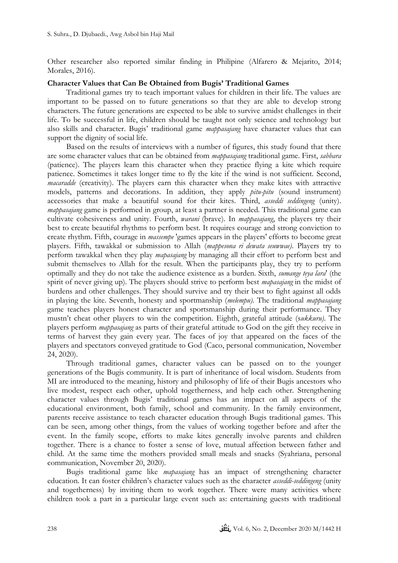Other researcher also reported similar finding in Philipine (Alfarero & Mejarito, 2014; Morales, 2016).

# **Character Values that Can Be Obtained from Bugis' Traditional Games**

Traditional games try to teach important values for children in their life. The values are important to be passed on to future generations so that they are able to develop strong characters. The future generations are expected to be able to survive amidst challenges in their life. To be successful in life, children should be taught not only science and technology but also skills and character. Bugis' traditional game *mappasajang* have character values that can support the dignity of social life.

Based on the results of interviews with a number of figures, this study found that there are some character values that can be obtained from *mappasajang* traditional game. First, *sabbara* (patience). The players learn this character when they practice flying a kite which require patience. Sometimes it takes longer time to fly the kite if the wind is not sufficient. Second, *macaradde* (creativity). The players earn this character when they make kites with attractive models, patterns and decorations. In addition, they apply *pitu-pitu* (sound instrument) accessories that make a beautiful sound for their kites. Third, *asseddi seddingeng* (unity). *mappasajang* game is performed in group, at least a partner is needed. This traditional game can cultivate cohesiveness and unity. Fourth, *warani* (brave). In *mappasajang*, the players try their best to create beautiful rhythms to perform best. It requires courage and strong conviction to create rhythm. Fifth, courage in *massempe* 'games appears in the players' efforts to become great players. Fifth, tawakkal or submission to Allah (*mappesona ri dewata seuwwae)*. Players try to perform tawakkal when they play *mapasajang* by managing all their effort to perform best and submit themselves to Allah for the result. When the participants play, they try to perform optimally and they do not take the audience existence as a burden. Sixth, *sumange teya lara*' (the spirit of never giving up). The players should strive to perform best *mapasajang* in the midst of burdens and other challenges. They should survive and try their best to fight against all odds in playing the kite. Seventh, honesty and sportmanship (*melempu)*. The traditional *mappasajang* game teaches players honest character and sportsmanship during their performance. They mustn't cheat other players to win the competition. Eighth, grateful attitude (s*ukkuru)*. The players perform *mappasajang* as parts of their grateful attitude to God on the gift they receive in terms of harvest they gain every year. The faces of joy that appeared on the faces of the players and spectators conveyed gratitude to God (Caco, personal communication, November 24, 2020).

Through traditional games, character values can be passed on to the younger generations of the Bugis community. It is part of inheritance of local wisdom. Students from MI are introduced to the meaning, history and philosophy of life of their Bugis ancestors who live modest, respect each other, uphold togetherness, and help each other. Strengthening character values through Bugis' traditional games has an impact on all aspects of the educational environment, both family, school and community. In the family environment, parents receive assistance to teach character education through Bugis traditional games. This can be seen, among other things, from the values of working together before and after the event. In the family scope, efforts to make kites generally involve parents and children together. There is a chance to foster a sense of love, mutual affection between father and child. At the same time the mothers provided small meals and snacks (Syahriana, personal communication, November 20, 2020).

Bugis traditional game like *mapasajang* has an impact of strengthening character education. It can foster children's character values such as the character *asseddi-seddingeng* (unity and togetherness) by inviting them to work together. There were many activities where children took a part in a particular large event such as: entertaining guests with traditional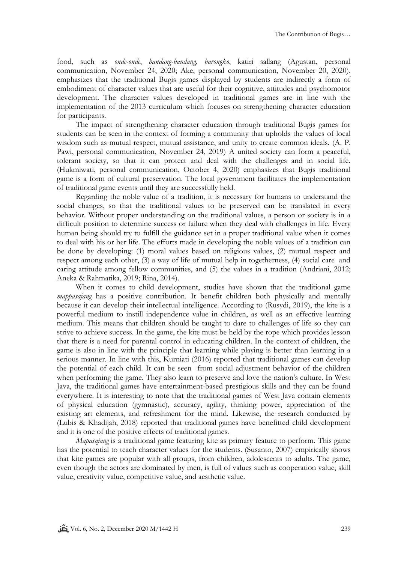food, such as *onde-onde*, *bandang-bandang*, *barongko*, katiri sallang (Agustan, personal communication, November 24, 2020; Ake, personal communication, November 20, 2020). emphasizes that the traditional Bugis games displayed by students are indirectly a form of embodiment of character values that are useful for their cognitive, attitudes and psychomotor development. The character values developed in traditional games are in line with the implementation of the 2013 curriculum which focuses on strengthening character education for participants.

The impact of strengthening character education through traditional Bugis games for students can be seen in the context of forming a community that upholds the values of local wisdom such as mutual respect, mutual assistance, and unity to create common ideals. (A. P. Pawi, personal communication, November 24, 2019) A united society can form a peaceful, tolerant society, so that it can protect and deal with the challenges and in social life. (Hukmiwati, personal communication, October 4, 2020) emphasizes that Bugis traditional game is a form of cultural preservation. The local government facilitates the implementation of traditional game events until they are successfully held.

Regarding the noble value of a tradition, it is necessary for humans to understand the social changes, so that the traditional values to be preserved can be translated in every behavior. Without proper understanding on the traditional values, a person or society is in a difficult position to determine success or failure when they deal with challenges in life. Every human being should try to fulfill the guidance set in a proper traditional value when it comes to deal with his or her life. The efforts made in developing the noble values of a tradition can be done by developing: (1) moral values based on religious values, (2) mutual respect and respect among each other, (3) a way of life of mutual help in togetherness, (4) social care and caring attitude among fellow communities, and (5) the values in a tradition (Andriani, 2012; Aneka & Rahmatika, 2019; Rina, 2014).

When it comes to child development, studies have shown that the traditional game *mappasajang* has a positive contribution. It benefit children both physically and mentally because it can develop their intellectual intelligence. According to (Rusydi, 2019), the kite is a powerful medium to instill independence value in children, as well as an effective learning medium. This means that children should be taught to dare to challenges of life so they can strive to achieve success. In the game, the kite must be held by the rope which provides lesson that there is a need for parental control in educating children. In the context of children, the game is also in line with the principle that learning while playing is better than learning in a serious manner. In line with this, Kurniati (2016) reported that traditional games can develop the potential of each child. It can be seen from social adjustment behavior of the children when performing the game. They also learn to preserve and love the nation's culture. In West Java, the traditional games have entertainment-based prestigious skills and they can be found everywhere. It is interesting to note that the traditional games of West Java contain elements of physical education (gymnastic), accuracy, agility, thinking power, appreciation of the existing art elements, and refreshment for the mind. Likewise, the research conducted by (Lubis & Khadijah, 2018) reported that traditional games have benefitted child development and it is one of the positive effects of traditional games.

*Mapasajang* is a traditional game featuring kite as primary feature to perform. This game has the potential to teach character values for the students. (Susanto, 2007) empirically shows that kite games are popular with all groups, from children, adolescents to adults. The game, even though the actors are dominated by men, is full of values such as cooperation value, skill value, creativity value, competitive value, and aesthetic value.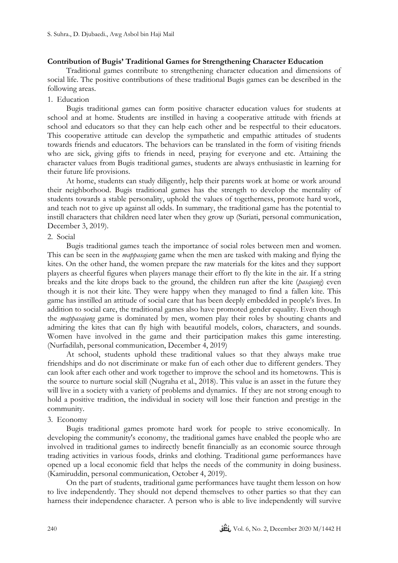### **Contribution of Bugis' Traditional Games for Strengthening Character Education**

Traditional games contribute to strengthening character education and dimensions of social life. The positive contributions of these traditional Bugis games can be described in the following areas.

### 1. Education

Bugis traditional games can form positive character education values for students at school and at home. Students are instilled in having a cooperative attitude with friends at school and educators so that they can help each other and be respectful to their educators. This cooperative attitude can develop the sympathetic and empathic attitudes of students towards friends and educators. The behaviors can be translated in the form of visiting friends who are sick, giving gifts to friends in need, praying for everyone and etc. Attaining the character values from Bugis traditional games, students are always enthusiastic in learning for their future life provisions.

At home, students can study diligently, help their parents work at home or work around their neighborhood. Bugis traditional games has the strength to develop the mentality of students towards a stable personality, uphold the values of togetherness, promote hard work, and teach not to give up against all odds. In summary, the traditional game has the potential to instill characters that children need later when they grow up (Suriati, personal communication, December 3, 2019).

### 2. Social

Bugis traditional games teach the importance of social roles between men and women. This can be seen in the *mappasajang* game when the men are tasked with making and flying the kites. On the other hand, the women prepare the raw materials for the kites and they support players as cheerful figures when players manage their effort to fly the kite in the air. If a string breaks and the kite drops back to the ground, the children run after the kite (*pasajang*) even though it is not their kite. They were happy when they managed to find a fallen kite. This game has instilled an attitude of social care that has been deeply embedded in people's lives. In addition to social care, the traditional games also have promoted gender equality. Even though the *mappasajang* game is dominated by men, women play their roles by shouting chants and admiring the kites that can fly high with beautiful models, colors, characters, and sounds. Women have involved in the game and their participation makes this game interesting. (Nurfadilah, personal communication, December 4, 2019)

At school, students uphold these traditional values so that they always make true friendships and do not discriminate or make fun of each other due to different genders. They can look after each other and work together to improve the school and its hometowns. This is the source to nurture social skill (Nugraha et al., 2018). This value is an asset in the future they will live in a society with a variety of problems and dynamics. If they are not strong enough to hold a positive tradition, the individual in society will lose their function and prestige in the community.

#### 3. Economy

Bugis traditional games promote hard work for people to strive economically. In developing the community's economy, the traditional games have enabled the people who are involved in traditional games to indirectly benefit financially as an economic source through trading activities in various foods, drinks and clothing. Traditional game performances have opened up a local economic field that helps the needs of the community in doing business. (Kamiruddin, personal communication, October 4, 2019).

On the part of students, traditional game performances have taught them lesson on how to live independently. They should not depend themselves to other parties so that they can harness their independence character. A person who is able to live independently will survive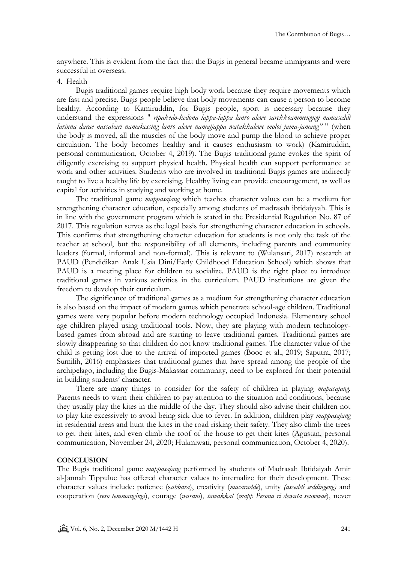anywhere. This is evident from the fact that the Bugis in general became immigrants and were successful in overseas.

### 4. Health

Bugis traditional games require high body work because they require movements which are fast and precise. Bugis people believe that body movements can cause a person to become healthy. According to Kamiruddin, for Bugis people, sport is necessary because they understand the expressions " *ripakedo-kedona lappa-lappa lanro alewe sarekkoammengngi namaseddi larinna darae nassabari namakessing lanro alewe namajjappa watakkalewe moloi jama-jamang"* " (when the body is moved, all the muscles of the body move and pump the blood to achieve proper circulation. The body becomes healthy and it causes enthusiasm to work) (Kamiruddin, personal communication, October 4, 2019). The Bugis traditional game evokes the spirit of diligently exercising to support physical health. Physical health can support performance at work and other activities. Students who are involved in traditional Bugis games are indirectly taught to live a healthy life by exercising. Healthy living can provide encouragement, as well as capital for activities in studying and working at home.

The traditional game *mappasajang* which teaches character values can be a medium for strengthening character education, especially among students of madrasah ibtidaiyyah. This is in line with the government program which is stated in the Presidential Regulation No. 87 of 2017. This regulation serves as the legal basis for strengthening character education in schools. This confirms that strengthening character education for students is not only the task of the teacher at school, but the responsibility of all elements, including parents and community leaders (formal, informal and non-formal). This is relevant to (Wulansari, 2017) research at PAUD (Pendidikan Anak Usia Dini/Early Childhood Education School) which shows that PAUD is a meeting place for children to socialize. PAUD is the right place to introduce traditional games in various activities in the curriculum. PAUD institutions are given the freedom to develop their curriculum.

The significance of traditional games as a medium for strengthening character education is also based on the impact of modern games which penetrate school-age children. Traditional games were very popular before modern technology occupied Indonesia. Elementary school age children played using traditional tools. Now, they are playing with modern technologybased games from abroad and are starting to leave traditional games. Traditional games are slowly disappearing so that children do not know traditional games. The character value of the child is getting lost due to the arrival of imported games (Booc et al., 2019; Saputra, 2017; Sumilih, 2016) emphasizes that traditional games that have spread among the people of the archipelago, including the Bugis-Makassar community, need to be explored for their potential in building students' character.

There are many things to consider for the safety of children in playing *mapasajang.* Parents needs to warn their children to pay attention to the situation and conditions, because they usually play the kites in the middle of the day. They should also advise their children not to play kite excessively to avoid being sick due to fever. In addition, children play *mappasajang* in residential areas and hunt the kites in the road risking their safety. They also climb the trees to get their kites, and even climb the roof of the house to get their kites (Agustan, personal communication, November 24, 2020; Hukmiwati, personal communication, October 4, 2020).

#### **CONCLUSION**

The Bugis traditional game *mappasajang* performed by students of Madrasah Ibtidaiyah Amir al-Jannah Tippulue has offered character values to internalize for their development. These character values include: patience (s*abbara*), creativity (*macaradde*), unity *(asseddi seddingeng)* and cooperation (*reso temmangingi*), courage (*warani*), *tawakkal* (*mapp Pesona ri dewata seuwwae*), never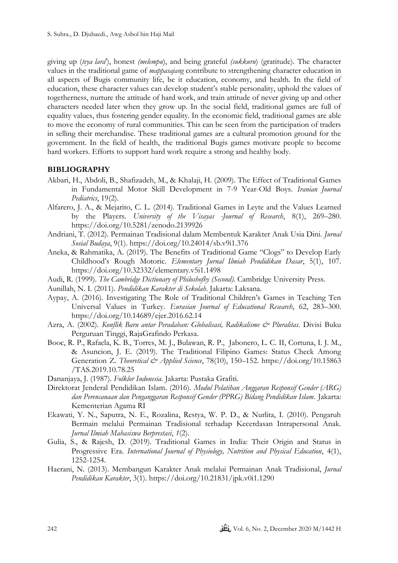giving up (*teya lara*'), honest *(melempu*), and being grateful *(sukkuru*) (gratitude). The character values in the traditional game of *mappasajang* contribute to strengthening character education in all aspects of Bugis community life, be it education, economy, and health. In the field of education, these character values can develop student's stable personality, uphold the values of togetherness, nurture the attitude of hard work, and train attitude of never giving up and other characters needed later when they grow up. In the social field, traditional games are full of equality values, thus fostering gender equality. In the economic field, traditional games are able to move the economy of rural communities. This can be seen from the participation of traders in selling their merchandise. These traditional games are a cultural promotion ground for the government. In the field of health, the traditional Bugis games motivate people to become hard workers. Efforts to support hard work require a strong and healthy body.

# **BIBLIOGRAPHY**

- Akbari, H., Abdoli, B., Shafizadeh, M., & Khalaji, H. (2009). The Effect of Traditional Games in Fundamental Motor Skill Development in 7-9 Year-Old Boys. *Iranian Journal Pediatrics*, 19(2).
- Alfarero, J. A., & Mejarito, C. L. (2014). Traditional Games in Leyte and the Values Learned by the Players. *University of the Visayas -Journal of Research*, 8(1), 269–280. https://doi.org/10.5281/zenodo.2139926
- Andriani, T. (2012). Permainan Tradisional dalam Membentuk Karakter Anak Usia Dini. *Jurnal Sosial Budaya*, 9(1). https://doi.org/10.24014/sb.v9i1.376
- Aneka, & Rahmatika, A. (2019). The Benefits of Traditional Game "Clogs" to Develop Early Childhood's Rough Motoric. *Elementary Jurnal Ilmiah Pendidikan Dasar*, 5(1), 107. https://doi.org/10.32332/elementary.v5i1.1498
- Audi, R. (1999). *The Cambridge Dictionary of Philoshofhy (Second)*. Cambridge University Press.
- Aunillah, N. I. (2011). *Pendidikan Karakter di Sekolah*. Jakarta: Laksana.
- Aypay, A. (2016). Investigating The Role of Traditional Children's Games in Teaching Ten Universal Values in Turkey. *Eurasian Journal of Educational Research*, 62, 283–300. https://doi.org/10.14689/ejer.2016.62.14
- Azra, A. (2002). *Konflik Baru antar Peradaban: Globalisasi, Radikalisme & Pluralitas*. Divisi Buku Perguruan Tinggi, RajaGrafindo Perkasa.
- Booc, R. P., Rafaela, K. B., Torres, M. J., Bulawan, R. P., Jabonero, L. C. II, Cortuna, I. J. M., & Asuncion, J. E. (2019). The Traditional Filipino Games: Status Check Among Generation Z. *Theoretical & Applied Science*, 78(10), 150–152. https://doi.org/10.15863 /TAS.2019.10.78.25
- Dananjaya, J. (1987). *Folklor Indonesia*. Jakarta: Pustaka Grafiti.
- Direktorat Jenderal Pendidikan Islam. (2016). *Modul Pelatihan Anggaran Responsif Gender (ARG) dan Perencanaan dan Penganggaran Responsif Gender (PPRG) Bidang Pendidikan Islam*. Jakarta: Kementerian Agama RI
- Ekawati, Y. N., Saputra, N. E., Rozalina, Restya, W. P. D., & Nurlita, I. (2010). Pengaruh Bermain melalui Permainan Tradisional terhadap Kecerdasan Intrapersonal Anak. *Jurnal Ilmiah Mahasiswa Berprestasi*, *1*(2).
- Gulia, S., & Rajesh, D. (2019). Traditional Games in India: Their Origin and Status in Progressive Era. *International Journal of Physiology, Nutrition and Physical Education*, 4(1), 1252-1254.
- Haerani, N. (2013). Membangun Karakter Anak melalui Permainan Anak Tradisional, *Jurnal Pendidikan Karakter*, 3(1). https://doi.org/10.21831/jpk.v0i1.1290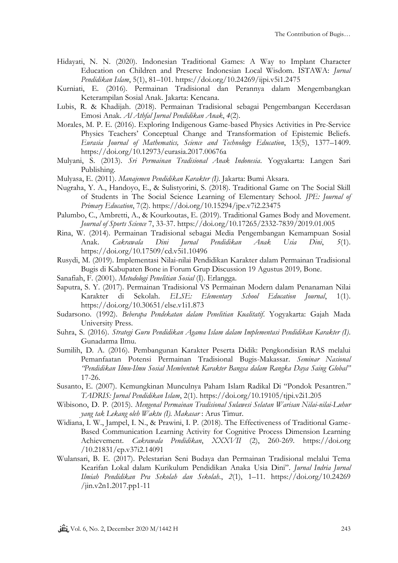- Hidayati, N. N. (2020). Indonesian Traditional Games: A Way to Implant Character Education on Children and Preserve Indonesian Local Wisdom. ISTAWA: *Jurnal Pendidikan Islam*, 5(1), 81–101. https://doi.org/10.24269/ijpi.v5i1.2475
- Kurniati, E. (2016). Permainan Tradisional dan Perannya dalam Mengembangkan Keterampilan Sosial Anak. Jakarta: Kencana.
- Lubis, R. & Khadijah. (2018). Permainan Tradisional sebagai Pengembangan Kecerdasan Emosi Anak. *Al Athfal Jurnal Pendidikan Anak*, *4*(2).
- Morales, M. P. E. (2016). Exploring Indigenous Game-based Physics Activities in Pre-Service Physics Teachers' Conceptual Change and Transformation of Epistemic Beliefs. *Eurasia Journal of Mathematics, Science and Technology Education*, 13(5), 1377–1409. https://doi.org/10.12973/eurasia.2017.00676a
- Mulyani, S. (2013). *Sri Permainan Tradisional Anak Indonesia*. Yogyakarta: Langen Sari Publishing.
- Mulyasa, E. (2011). *Manajemen Pendidikan Karakter (I)*. Jakarta: Bumi Aksara.
- Nugraha, Y. A., Handoyo, E., & Sulistyorini, S. (2018). Traditional Game on The Social Skill of Students in The Social Science Learning of Elementary School. *JPE: Journal of Primary Education*, 7(2). https://doi.org/10.15294/jpe.v7i2.23475
- Palumbo, C., Ambretti, A., & Kourkoutas, E. (2019). Traditional Games Body and Movement. *Journal of Sports Science* 7, 33-37. https://doi.org/10.17265/2332-7839/2019.01.005
- Rina, W. (2014). Permainan Tradisional sebagai Media Pengembangan Kemampuan Sosial Anak. *Cakrawala Dini Jurnal Pendidikan Anak Usia Dini*, *5*(1). https://doi.org/10.17509/cd.v5i1.10496
- Rusydi, M. (2019). Implementasi Nilai-nilai Pendidikan Karakter dalam Permainan Tradisional Bugis di Kabupaten Bone in Forum Grup Discussion 19 Agustus 2019*,* Bone.
- Sanafiah, F. (2001). *Metodologi Penelitian Sosial* (I). Erlangga.
- Saputra, S. Y. (2017). Permainan Tradisional VS Permainan Modern dalam Penanaman Nilai Karakter di Sekolah. *ELSE: Elementary School Education Journal*, 1(1). https://doi.org/10.30651/else.v1i1.873
- Sudarsono. (1992). *Beberapa Pendekatan dalam Penelitian Kualitatif*. Yogyakarta: Gajah Mada University Press.
- Suhra, S. (2016). *Strategi Guru Pendidikan Agama Islam dalam Implementasi Pendidikan Karakter (I)*. Gunadarma Ilmu.
- Sumilih, D. A. (2016). Pembangunan Karakter Peserta Didik: Pengkondisian RAS melalui Pemanfaatan Potensi Permainan Tradisional Bugis-Makassar. *Seminar Nasional "Pendidikan Ilmu-Ilmu Sosial Membentuk Karakter Bangsa dalam Rangka Daya Saing Global"* 17-26.
- Susanto, E. (2007). Kemungkinan Munculnya Paham Islam Radikal Di "Pondok Pesantren." *TADRIS: Jurnal Pendidikan Islam*, 2(1). https://doi.org/10.19105/tjpi.v2i1.205
- Wibisono, D. P. (2015). *Mengenal Permainan Tradisional Sulawesi Selatan Warisan Nilai-nilai-Luhur yang tak Lekang oleh Waktu (I). Makasar* : Arus Timur.
- Widiana, I. W., Jampel, I. N., & Prawini, I. P. (2018). The Effectiveness of Traditional Game-Based Communication Learning Activity for Cognitive Process Dimension Learning Achievement. *Cakrawala Pendidikan*, *XXXVII* (2), 260-269. https://doi.org /10.21831/cp.v37i2.14091
- Wulansari, B. E. (2017). Pelestarian Seni Budaya dan Permainan Tradisional melalui Tema Kearifan Lokal dalam Kurikulum Pendidikan Anaka Usia Dini". *Jurnal Indria Jurnal Ilmiah Pendidikan Pra Sekolah dan Sekolah.*, *2*(1), 1–11. https://doi.org/10.24269 /jin.v2n1.2017.pp1-11